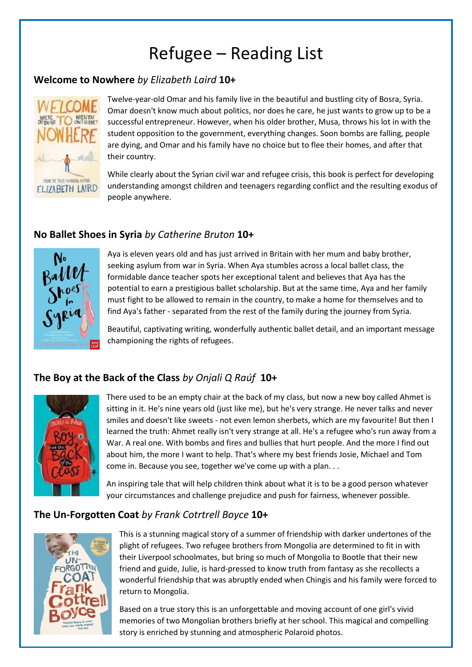# Refugee – Reading List

## **Welcome to Nowhere** *by Elizabeth Laird* **10+**



Twelve-year-old Omar and his family live in the beautiful and bustling city of Bosra, Syria. Omar doesn't know much about politics, nor does he care, he just wants to grow up to be a successful entrepreneur. However, when his older brother, Musa, throws his lot in with the student opposition to the government, everything changes. Soon bombs are falling, people are dying, and Omar and his family have no choice but to flee their homes, and after that their country.

While clearly about the Syrian civil war and refugee crisis, this book is perfect for developing understanding amongst children and teenagers regarding conflict and the resulting exodus of people anywhere.

## **No Ballet Shoes in Syria** *by Catherine Bruton* **10+**



Aya is eleven years old and has just arrived in Britain with her mum and baby brother, seeking asylum from war in Syria. When Aya stumbles across a local ballet class, the formidable dance teacher spots her exceptional talent and believes that Aya has the potential to earn a prestigious ballet scholarship. But at the same time, Aya and her family must fight to be allowed to remain in the country, to make a home for themselves and to find Aya's father - separated from the rest of the family during the journey from Syria.

Beautiful, captivating writing, wonderfully authentic ballet detail, and an important message championing the rights of refugees.

# **The Boy at the Back of the Class** *by Onjali Q Raúf* **10+**



There used to be an empty chair at the back of my class, but now a new boy called Ahmet is sitting in it. He's nine years old (just like me), but he's very strange. He never talks and never smiles and doesn't like sweets - not even lemon sherbets, which are my favourite! But then I learned the truth: Ahmet really isn't very strange at all. He's a refugee who's run away from a War. A real one. With bombs and fires and bullies that hurt people. And the more I find out about him, the more I want to help. That's where my best friends Josie, Michael and Tom come in. Because you see, together we've come up with a plan. . .

An inspiring tale that will help children think about what it is to be a good person whatever your circumstances and challenge prejudice and push for fairness, whenever possible.

## **The Un-Forgotten Coat** *by Frank Cotrtrell Boyce* **10+**



This is a stunning magical story of a summer of friendship with darker undertones of the plight of refugees. Two refugee brothers from Mongolia are determined to fit in with their Liverpool schoolmates, but bring so much of Mongolia to Bootle that their new friend and guide, Julie, is hard-pressed to know truth from fantasy as she recollects a wonderful friendship that was abruptly ended when Chingis and his family were forced to return to Mongolia.

Based on a true story this is an unforgettable and moving account of one girl's vivid memories of two Mongolian brothers briefly at her school. This magical and compelling story is enriched by stunning and atmospheric Polaroid photos.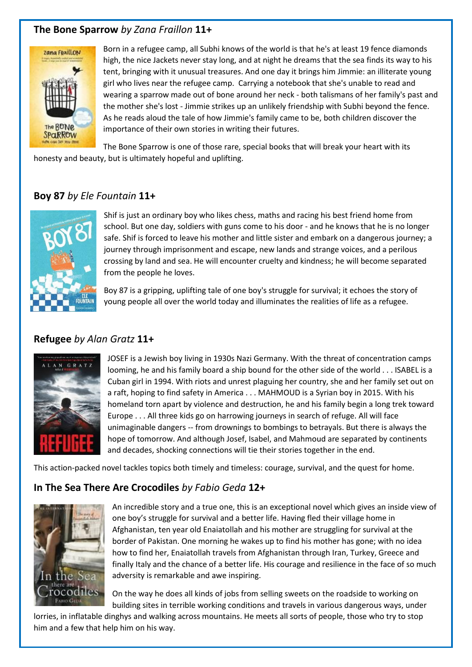# **The Bone Sparrow** *by Zana Fraillon* **11+**



Born in a refugee camp, all Subhi knows of the world is that he's at least 19 fence diamonds high, the nice Jackets never stay long, and at night he dreams that the sea finds its way to his tent, bringing with it unusual treasures. And one day it brings him Jimmie: an illiterate young girl who lives near the refugee camp. Carrying a notebook that she's unable to read and wearing a sparrow made out of bone around her neck - both talismans of her family's past and the mother she's lost - Jimmie strikes up an unlikely friendship with Subhi beyond the fence. As he reads aloud the tale of how Jimmie's family came to be, both children discover the importance of their own stories in writing their futures.

The Bone Sparrow is one of those rare, special books that will break your heart with its honesty and beauty, but is ultimately hopeful and uplifting.

## **Boy 87** *by Ele Fountain* **11+**



Shif is just an ordinary boy who likes chess, maths and racing his best friend home from school. But one day, soldiers with guns come to his door - and he knows that he is no longer safe. Shif is forced to leave his mother and little sister and embark on a dangerous journey; a journey through imprisonment and escape, new lands and strange voices, and a perilous crossing by land and sea. He will encounter cruelty and kindness; he will become separated from the people he loves.

Boy 87 is a gripping, uplifting tale of one boy's struggle for survival; it echoes the story of young people all over the world today and illuminates the realities of life as a refugee.

## **Refugee** *by Alan Gratz* **11+**



JOSEF is a Jewish boy living in 1930s Nazi Germany. With the threat of concentration camps looming, he and his family board a ship bound for the other side of the world . . . ISABEL is a Cuban girl in 1994. With riots and unrest plaguing her country, she and her family set out on a raft, hoping to find safety in America . . . MAHMOUD is a Syrian boy in 2015. With his homeland torn apart by violence and destruction, he and his family begin a long trek toward Europe . . . All three kids go on harrowing journeys in search of refuge. All will face unimaginable dangers -- from drownings to bombings to betrayals. But there is always the hope of tomorrow. And although Josef, Isabel, and Mahmoud are separated by continents and decades, shocking connections will tie their stories together in the end.

This action-packed novel tackles topics both timely and timeless: courage, survival, and the quest for home.

## **In The Sea There Are Crocodiles** *by Fabio Geda* **12+**



An incredible story and a true one, this is an exceptional novel which gives an inside view of one boy's struggle for survival and a better life. Having fled their village home in Afghanistan, ten year old Enaiatollah and his mother are struggling for survival at the border of Pakistan. One morning he wakes up to find his mother has gone; with no idea how to find her, Enaiatollah travels from Afghanistan through Iran, Turkey, Greece and finally Italy and the chance of a better life. His courage and resilience in the face of so much adversity is remarkable and awe inspiring.

On the way he does all kinds of jobs from selling sweets on the roadside to working on building sites in terrible working conditions and travels in various dangerous ways, under

lorries, in inflatable dinghys and walking across mountains. He meets all sorts of people, those who try to stop him and a few that help him on his way.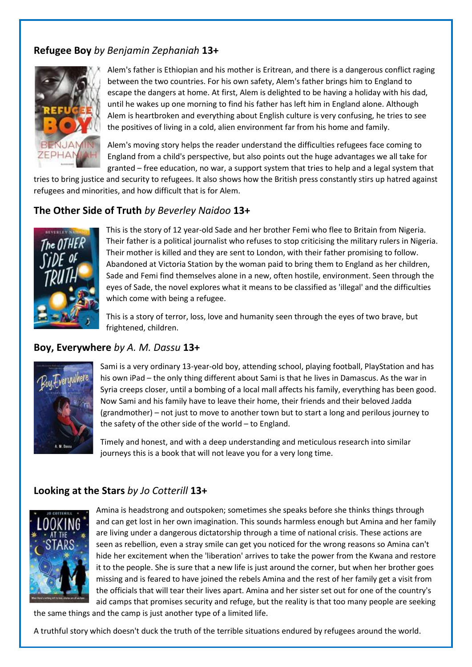# **Refugee Boy** *by Benjamin Zephaniah* **13+**



Alem's father is Ethiopian and his mother is Eritrean, and there is a dangerous conflict raging between the two countries. For his own safety, Alem's father brings him to England to escape the dangers at home. At first, Alem is delighted to be having a holiday with his dad, until he wakes up one morning to find his father has left him in England alone. Although Alem is heartbroken and everything about English culture is very confusing, he tries to see the positives of living in a cold, alien environment far from his home and family.

Alem's moving story helps the reader understand the difficulties refugees face coming to England from a child's perspective, but also points out the huge advantages we all take for granted – free education, no war, a support system that tries to help and a legal system that

tries to bring justice and security to refugees. It also shows how the British press constantly stirs up hatred against refugees and minorities, and how difficult that is for Alem.

## **The Other Side of Truth** *by Beverley Naidoo* **13+**



This is the story of 12 year-old Sade and her brother Femi who flee to Britain from Nigeria. Their father is a political journalist who refuses to stop criticising the military rulers in Nigeria. Their mother is killed and they are sent to London, with their father promising to follow. Abandoned at Victoria Station by the woman paid to bring them to England as her children, Sade and Femi find themselves alone in a new, often hostile, environment. Seen through the eyes of Sade, the novel explores what it means to be classified as 'illegal' and the difficulties which come with being a refugee.

This is a story of terror, loss, love and humanity seen through the eyes of two brave, but frightened, children.

#### **Boy, Everywhere** *by A. M. Dassu* **13+**



Sami is a very ordinary 13-year-old boy, attending school, playing football, PlayStation and has his own iPad – the only thing different about Sami is that he lives in Damascus. As the war in Syria creeps closer, until a bombing of a local mall affects his family, everything has been good. Now Sami and his family have to leave their home, their friends and their beloved Jadda (grandmother) – not just to move to another town but to start a long and perilous journey to the safety of the other side of the world – to England.

Timely and honest, and with a deep understanding and meticulous research into similar journeys this is a book that will not leave you for a very long time.

#### **Looking at the Stars** *by Jo Cotterill* **13+**



Amina is headstrong and outspoken; sometimes she speaks before she thinks things through and can get lost in her own imagination. This sounds harmless enough but Amina and her family are living under a dangerous dictatorship through a time of national crisis. These actions are seen as rebellion, even a stray smile can get you noticed for the wrong reasons so Amina can't hide her excitement when the 'liberation' arrives to take the power from the Kwana and restore it to the people. She is sure that a new life is just around the corner, but when her brother goes missing and is feared to have joined the rebels Amina and the rest of her family get a visit from the officials that will tear their lives apart. Amina and her sister set out for one of the country's aid camps that promises security and refuge, but the reality is that too many people are seeking

the same things and the camp is just another type of a limited life.

A truthful story which doesn't duck the truth of the terrible situations endured by refugees around the world.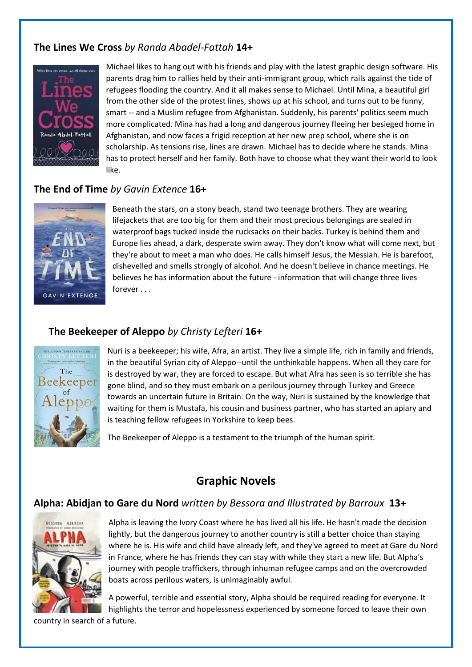# **The Lines We Cross** *by Randa Abadel-Fattah* **14+**



Michael likes to hang out with his friends and play with the latest graphic design software. His parents drag him to rallies held by their anti-immigrant group, which rails against the tide of refugees flooding the country. And it all makes sense to Michael. Until Mina, a beautiful girl from the other side of the protest lines, shows up at his school, and turns out to be funny, smart -- and a Muslim refugee from Afghanistan. Suddenly, his parents' politics seem much more complicated. Mina has had a long and dangerous journey fleeing her besieged home in Afghanistan, and now faces a frigid reception at her new prep school, where she is on scholarship. As tensions rise, lines are drawn. Michael has to decide where he stands. Mina has to protect herself and her family. Both have to choose what they want their world to look like.

# **The End of Time** *by Gavin Extence* **16+**



Beneath the stars, on a stony beach, stand two teenage brothers. They are wearing lifejackets that are too big for them and their most precious belongings are sealed in waterproof bags tucked inside the rucksacks on their backs. Turkey is behind them and Europe lies ahead, a dark, desperate swim away. They don't know what will come next, but they're about to meet a man who does. He calls himself Jesus, the Messiah. He is barefoot, dishevelled and smells strongly of alcohol. And he doesn't believe in chance meetings. He believes he has information about the future - information that will change three lives forever . . .

# **The Beekeeper of Aleppo** *by Christy Lefteri* **16+**



Nuri is a beekeeper; his wife, Afra, an artist. They live a simple life, rich in family and friends, in the beautiful Syrian city of Aleppo--until the unthinkable happens. When all they care for is destroyed by war, they are forced to escape. But what Afra has seen is so terrible she has gone blind, and so they must embark on a perilous journey through Turkey and Greece towards an uncertain future in Britain. On the way, Nuri is sustained by the knowledge that waiting for them is Mustafa, his cousin and business partner, who has started an apiary and is teaching fellow refugees in Yorkshire to keep bees.

The Beekeeper of Aleppo is a testament to the triumph of the human spirit.

# **Graphic Novels**

## **Alpha: Abidjan to Gare du Nord** *written by Bessora and Illustrated by Barroux* **13+**



Alpha is leaving the Ivory Coast where he has lived all his life. He hasn't made the decision lightly, but the dangerous journey to another country is still a better choice than staying where he is. His wife and child have already left, and they've agreed to meet at Gare du Nord in France, where he has friends they can stay with while they start a new life. But Alpha's journey with people traffickers, through inhuman refugee camps and on the overcrowded boats across perilous waters, is unimaginably awful.

A powerful, terrible and essential story, Alpha should be required reading for everyone. It highlights the terror and hopelessness experienced by someone forced to leave their own

country in search of a future.